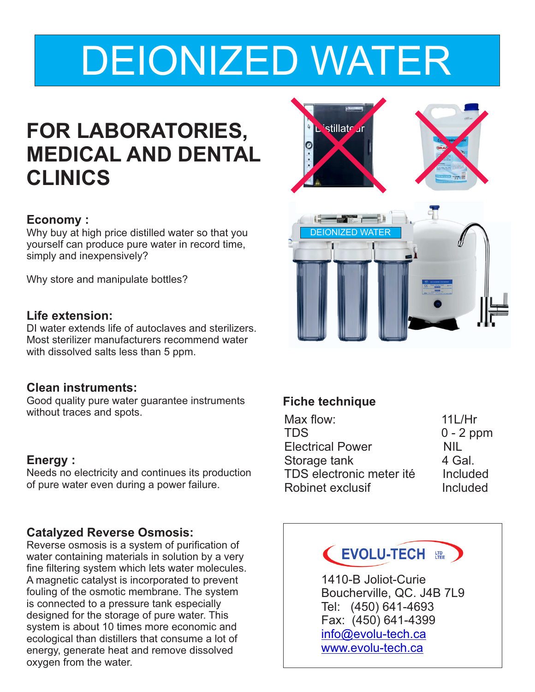# DEIONIZED WATER

## **FOR LABORATORIES, MEDICAL AND DENTAL CLINICS**

#### **Economy :**

Why buy at high price distilled water so that you yourself can produce pure water in record time, simply and inexpensively?

Why store and manipulate bottles?

#### **Life extension:**

DI water extends life of autoclaves and sterilizers. Most sterilizer manufacturers recommend water with dissolved salts less than 5 ppm.

#### **Clean instruments:**

Good quality pure water guarantee instruments without traces and spots.

#### **Energy :**

Needs no electricity and continues its production of pure water even during a power failure.

#### **Catalyzed Reverse Osmosis:**

Reverse osmosis is a system of purification of water containing materials in solution by a very fine filtering system which lets water molecules. A magnetic catalyst is incorporated to prevent fouling of the osmotic membrane. The system is connected to a pressure tank especially designed for the storage of pure water. This system is about 10 times more economic and ecological than distillers that consume a lot of energy, generate heat and remove dissolved oxygen from the water.



#### **Fiche technique**

| Max flow:                | 11L/Hr      |
|--------------------------|-------------|
| TDS                      | $0 - 2$ ppm |
| <b>Electrical Power</b>  | NIL         |
| Storage tank             | 4 Gal.      |
| TDS electronic meter ité | Included    |
| Robinet exclusif         | Included    |
|                          |             |

### EVOLU-TECH

1410-B Joliot-Curie Boucherville, QC. J4B 7L9 Tel: (450) 641-4693 Fax: (450) 641-4399 [info@evolu-tech.ca](mailto:info@evolu-tech.ca) [www.evolu-tech.ca](http://www.evolu-tech.ca)